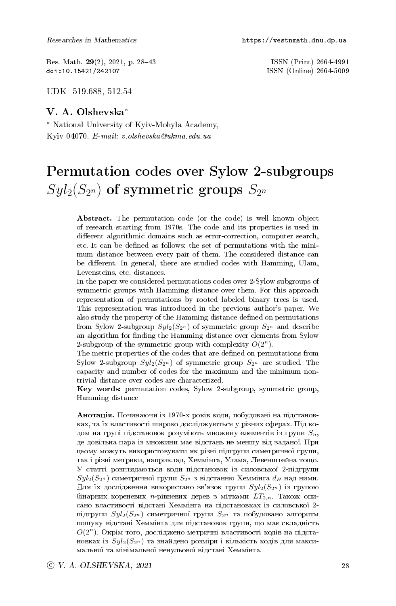Res. Math. 29(2), 2021, p. 28-43 ISSN (Print) 2664-4991<br>doi:10.15421/242107 ISSN (Online) 2664-5009

ISSN (Online) 2664-5009

UDK 519.688, 512.54

## V. A. Olshevska<sup>∗</sup>

<sup>∗</sup> National University of Kyiv-Mohyla Academy, Kyiv 04070. E-mail: v.olshevska@ukma.edu.ua

# Permutation codes over Sylow 2-subgroups  $Syl_2(S_{2^n})$  of symmetric groups  $S_{2^n}$

Abstract. The permutation code (or the code) is well known object of research starting from 1970s. The code and its properties is used in different algorithmic domains such as error-correction, computer search, etc. It can be defined as follows: the set of permutations with the minimum distance between every pair of them. The considered distance can be different. In general, there are studied codes with Hamming, Ulam, Levensteins, etc. distances.

In the paper we considered permutations codes over 2-Sylow subgroups of symmetric groups with Hamming distance over them. For this approach representation of permutations by rooted labeled binary trees is used. This representation was introduced in the previous author's paper. We also study the property of the Hamming distance defined on permutations from Sylow 2-subgroup  $Syl_2(S_{2^n})$  of symmetric group  $S_{2^n}$  and describe an algorithm for finding the Hamming distance over elements from Sylow 2-subgroup of the symmetric group with complexity  $O(2^n)$ .

The metric properties of the codes that are defined on permutations from Sylow 2-subgroup  $Syl_2(S_{2^n})$  of symmetric group  $S_{2^n}$  are studied. The capacity and number of codes for the maximum and the minimum nontrivial distance over codes are characterized.

Key words: permutation codes, Sylow 2-subgroup, symmetric group, Hamming distance

Анотація. Починаючи із 1970-х років коди, побудовані на підстановках, та їх властивості широко досліджуються у різних сферах. Під кодом на групі підстановок розуміють множину елементів із групи  $S_n$ , де довільна пара із множини має відстань не меншу від заданої. При цьому можуть використовувати як різні підгрупи симетричної групи, так і різні метрики, наприклад, Хеммінга, Улама, Левенштейна тощо. У статті розглядаються коди підстановок із силовської 2-підгрупи  $Syl_2(S_{2^n})$  симетричної групи  $S_{2^n}$  з відстанню Хеммінга  $d_H$  над ними. Для їх дослідження використано зв'язок групи  $Syl_2(S_{2^n})$  із групою бінарних кореневих *n*-рівневих дерев з мітками  $LT_{2,n}$ . Також описано властивості відстані Хеммінга на підстановках із силовської 2підгрупи  $Syl_2(S_{2^n})$  симетричної групи  $S_{2^n}$  та побудовано алгоритм пошуку відстані Хеммінга для підстановок групи, що має складність  $O(2^n)$ . Окрім того, досліджено метричні властивості кодів на підстановках із  $Syl_2(S_{2^n})$  та знайдено розміри і кількість кодів для максимальної та мінімальної ненульової відстані Хеммінга.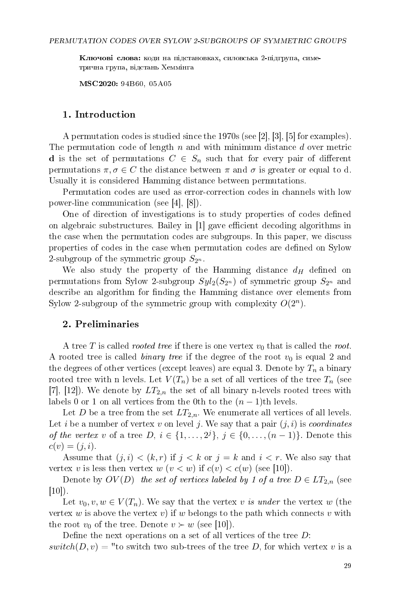Ключові слова: коди на підстановках, силовська 2-підгрупа, симетрична група, відстань Хеммінга

MSC2020: 94B60, 05A05

### 1. Introduction

A permutation codes is studied since the 1970s (see [2], [3], [5] for examples). The permutation code of length  $n$  and with minimum distance  $d$  over metric d is the set of permutations  $C \in S_n$  such that for every pair of different permutations  $\pi, \sigma \in C$  the distance between  $\pi$  and  $\sigma$  is greater or equal to d. Usually it is considered Hamming distance between permutations.

Permutation codes are used as error-correction codes in channels with low power-line communication (see [4], [8]).

One of direction of investigations is to study properties of codes dened on algebraic substructures. Bailey in  $[1]$  gave efficient decoding algorithms in the case when the permutation codes are subgroups. In this paper, we discuss properties of codes in the case when permutation codes are dened on Sylow 2-subgroup of the symmetric group  $S_{2^n}$ .

We also study the property of the Hamming distance  $d_H$  defined on permutations from Sylow 2-subgroup  $Syl_2(S_{2^n})$  of symmetric group  $S_{2^n}$  and describe an algorithm for finding the Hamming distance over elements from Sylow 2-subgroup of the symmetric group with complexity  $O(2^n)$ .

### 2. Preliminaries

A tree T is called *rooted tree* if there is one vertex  $v_0$  that is called the root. A rooted tree is called *binary tree* if the degree of the root  $v_0$  is equal 2 and the degrees of other vertices (except leaves) are equal 3. Denote by  $T_n$  a binary rooted tree with n levels. Let  $V(T_n)$  be a set of all vertices of the tree  $T_n$  (see [7], [12]). We denote by  $LT_{2,n}$  the set of all binary n-levels rooted trees with labels 0 or 1 on all vertices from the 0th to the  $(n-1)$ th levels.

Let D be a tree from the set  $LT_{2,n}$ . We enumerate all vertices of all levels. Let i be a number of vertex v on level j. We say that a pair  $(j, i)$  is *coordinates* of the vertex v of a tree  $D, i \in \{1, \ldots, 2^j\}, j \in \{0, \ldots, (n-1)\}.$  Denote this  $c(v) = (j, i).$ 

Assume that  $(j, i) < (k, r)$  if  $j < k$  or  $j = k$  and  $i < r$ . We also say that vertex v is less then vertex w  $(v < w)$  if  $c(v) < c(w)$  (see [10]).

Denote by  $OV(D)$  the set of vertices labeled by 1 of a tree  $D \in LT_{2,n}$  (see  $[10]$ ).

Let  $v_0, v, w \in V(T_n)$ . We say that the vertex v is under the vertex w (the vertex w is above the vertex v) if w belongs to the path which connects v with the root  $v_0$  of the tree. Denote  $v \succ w$  (see [10]).

Define the next operations on a set of all vertices of the tree  $D$ :  $switch(D, v) =$  "to switch two sub-trees of the tree D, for which vertex v is a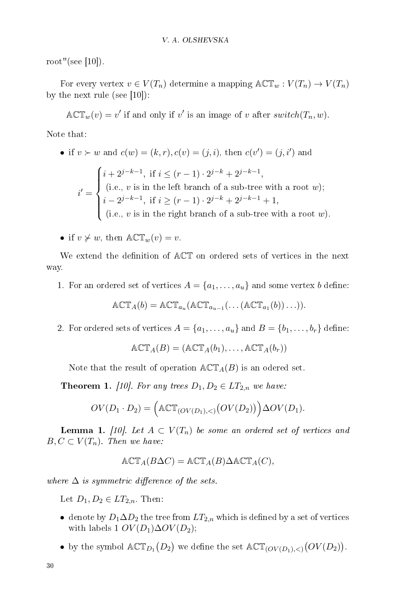root"(see  $|10|$ ).

For every vertex  $v \in V(T_n)$  determine a mapping  $\mathbb{A}\mathbb{C}\mathbb{T}_w : V(T_n) \to V(T_n)$ by the next rule (see  $|10|$ ):

 $\mathbb{ACT}_w(v) = v'$  if and only if v' is an image of v after switch $(T_n, w)$ .

Note that:

\n- if 
$$
v \succ w
$$
 and  $c(w) = (k, r), c(v) = (j, i)$ , then  $c(v') = (j, i')$  and
\n- if  $v \succ w$  and  $c(w) = (k, r), c(v) = (j, i)$ , then  $c(v') = (j, i')$  and
\n- if  $i \leq (r - 1) \cdot 2^{j-k} + 2^{j-k-1}$ ,  $i' = \begin{cases} i + 2^{j-k-1}, & \text{if } i \geq (r-1) \cdot 2^{j-k} + 2^{j-k-1} + 1, \\ i = 2^{j-k-1}, & \text{if } i \geq (r-1) \cdot 2^{j-k} + 2^{j-k-1} + 1, \\ \text{if } i = (k, v) \text{ is in the right branch of a sub-tree with a root } w \text{ is } w \text{ is in the right branch of a sub-tree with a root } w \text{ is in the right branch of a sub-tree with a root } w \text{ is in the right branch of a sub-tree with a root } w \text{ is in the right branch of a sub-tree with a root } w \text{ is in the right branch of a sub-tree with a root } w \text{ is in the right branch of a sub-tree with a root } w \text{ is in the right branch of a sub-tree with a root } w \text{ is in the right branch of a sub-tree with a root } w \text{ is in the right branch of a sub-tree with a root } w \text{ is in the right branch of a sub-tree with a root } w \text{ is in the right branch of a sub-tree with a root } w \text{ is in the right branch of a sub-tree with a root of a sub-tree with a root of a sub-tree with a root of a sub-tree with a root of a sub-tree with a root of a sub-tree with a root of a sub-tree with a root of a sub-tree with a root of a sub-tree with a root of a sub-tree with a root of a sub-tree with a root of a sub-tree with a root of a sub-tree with a root of a sub-tree with a root of a sub-tree with a root of a sub-tree with a root of a sub-tree with a root of a sub-tree with a root of a sub-tree with a root of a sub-tree with a root of a sub-tree with a root of a sub-tree with a root of a sub-tree with a root of a sub-tree with a root of a sub-tree with a root of a sub-tree with a root of a sub-tree with a root of a sub-tree with a root of a sub-tree with a root of a sub-tree with a root of a sub-tree with a root of a sub-tree with a root of a sub-tree with a root of a sub-tree with a root of a sub-tree with a root of a sub-tree with$

• if  $v \neq w$ , then  $\mathbb{ACT}_w(v) = v$ .

We extend the definition of  $\mathbb{A}\mathbb{C}\mathbb{T}$  on ordered sets of vertices in the next way.

1. For an ordered set of vertices  $A = \{a_1, \ldots, a_u\}$  and some vertex b define:

$$
\mathbb{ACT}_A(b) = \mathbb{ACT}_{a_u}(\mathbb{ACT}_{a_{u-1}}(\dots(\mathbb{ACT}_{a_1}(b))\dots)).
$$

2. For ordered sets of vertices  $A = \{a_1, \ldots, a_u\}$  and  $B = \{b_1, \ldots, b_r\}$  define:

$$
\mathbb{ACT}_A(B) = (\mathbb{ACT}_A(b_1), \ldots, \mathbb{ACT}_A(b_r))
$$

Note that the result of operation  $\mathbb{A}\mathbb{C} \mathbb{T}_A(B)$  is an odered set.

**Theorem 1.** [10]. For any trees  $D_1, D_2 \in LT_{2,n}$  we have:

$$
OV(D_1 \cdot D_2) = \left( \mathbb{ACT}_{(OV(D_1), <)}(OV(D_2)) \right) \Delta OV(D_1).
$$

**Lemma 1.** [10]. Let  $A \subset V(T_n)$  be some an ordered set of vertices and  $B, C \subset V(T_n)$ . Then we have:

$$
\mathbb{ACT}_A(B\Delta C) = \mathbb{ACT}_A(B)\Delta \mathbb{ACT}_A(C),
$$

where  $\Delta$  is symmetric difference of the sets.

Let  $D_1, D_2 \in LT_{2,n}$ . Then:

- denote by  $D_1 \Delta D_2$  the tree from  $LT_{2,n}$  which is defined by a set of vertices with labels 1  $OV(D_1)\Delta OV(D_2);$
- by the symbol  $\mathbb{ACT}_{D_1}(D_2)$  we define the set  $\mathbb{ACT}_{(OV(D_1), <)}(OV(D_2))$ .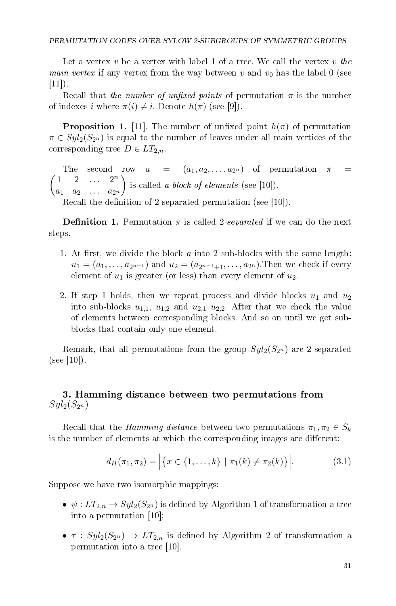Let a vertex v be a vertex with label 1 of a tree. We call the vertex v the *main vertex* if any vertex from the way between v and  $v_0$  has the label 0 (see  $|11|$ ).

Recall that the number of unfixed points of permutation  $\pi$  is the number of indexes i where  $\pi(i) \neq i$ . Denote  $h(\pi)$  (see [9]).

**Proposition 1.** [11]. The number of unfixed point  $h(\pi)$  of permutation  $\pi \in Syl_2(S_{2^n})$  is equal to the number of leaves under all main vertices of the corresponding tree  $D \in LT_{2,n}$ .

The second row  $a = (a_1, a_2, \ldots, a_{2^n})$  of permutation  $\pi$  =  $\begin{pmatrix} 1 & 2 & \dots & 2^n \end{pmatrix}$  $a_1 \quad a_2 \quad \ldots \quad a_{2^n}$ ) is called a block of elements (see  $[10]$ ).

Recall the definition of 2-separated permutation (see [10]).

**Definition 1.** Permutation  $\pi$  is called 2-separated if we can do the next steps.

- 1. At first, we divide the block  $\alpha$  into 2 sub-blocks with the same length:  $u_1 = (a_1, \ldots, a_{2^{n-1}})$  and  $u_2 = (a_{2^{n-1}+1}, \ldots, a_{2^n})$ . Then we check if every element of  $u_1$  is greater (or less) than every element of  $u_2$ .
- 2. If step 1 holds, then we repeat process and divide blocks  $u_1$  and  $u_2$ into sub-blocks  $u_{1,1}$ ,  $u_{1,2}$  and  $u_{2,1}$   $u_{2,2}$ . After that we check the value of elements between corresponding blocks. And so on until we get subblocks that contain only one element.

Remark, that all permutations from the group  $Syl_2(S_{2^n})$  are 2-separated (see [10]).

## 3. Hamming distance between two permutations from  $Syl_2(S_{2^n})$

Recall that the Hamming distance between two permutations  $\pi_1, \pi_2 \in S_k$ is the number of elements at which the corresponding images are different:

$$
d_H(\pi_1, \pi_2) = \left| \{ x \in \{1, \dots, k\} \mid \pi_1(k) \neq \pi_2(k) \} \right|.
$$
 (3.1)

Suppose we have two isomorphic mappings:

- $\psi: LT_{2,n} \to Syl_2(S_{2^n})$  is defined by Algorithm 1 of transformation a tree into a permutation [10];
- $\tau$  :  $Syl_2(S_{2^n}) \rightarrow LT_{2,n}$  is defined by Algorithm 2 of transformation a permutation into a tree [10].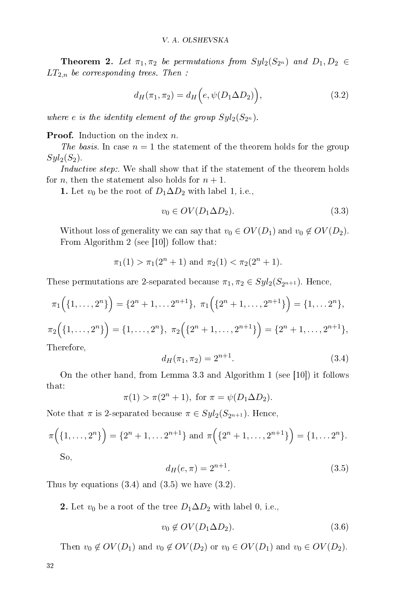**Theorem 2.** Let  $\pi_1, \pi_2$  be permutations from  $Syl_2(S_{2^n})$  and  $D_1, D_2 \in$  $LT_{2,n}$  be corresponding trees. Then :

$$
d_H(\pi_1, \pi_2) = d_H(e, \psi(D_1 \Delta D_2)), \qquad (3.2)
$$

where e is the identity element of the group  $Syl_2(S_{2^n})$ .

**Proof.** Induction on the index *n*.

The basis. In case  $n = 1$  the statement of the theorem holds for the group  $Syl_2(S_2)$ .

Inductive step:. We shall show that if the statement of the theorem holds for *n*, then the statement also holds for  $n + 1$ .

1. Let  $v_0$  be the root of  $D_1 \Delta D_2$  with label 1, i.e.,

$$
v_0 \in OV(D_1 \Delta D_2). \tag{3.3}
$$

Without loss of generality we can say that  $v_0 \in OV(D_1)$  and  $v_0 \notin OV(D_2)$ . From Algorithm 2 (see [10]) follow that:

$$
\pi_1(1) > \pi_1(2^n + 1)
$$
 and  $\pi_2(1) < \pi_2(2^n + 1)$ .

These permutations are 2-separated because  $\pi_1, \pi_2 \in Syl_2(S_{2^{n+1}})$ . Hence,

$$
\pi_1\Big(\{1,\ldots,2^n\}\Big)=\{2^n+1,\ldots,2^{n+1}\},\ \pi_1\Big(\{2^n+1,\ldots,2^{n+1}\}\Big)=\{1,\ldots,2^n\},\
$$

$$
\pi_2\Big(\{1,\ldots,2^n\}\Big) = \{1,\ldots,2^n\}, \ \pi_2\Big(\{2^n+1,\ldots,2^{n+1}\}\Big) = \{2^n+1,\ldots,2^{n+1}\},
$$
  
Therefore

Therefore,

$$
d_H(\pi_1, \pi_2) = 2^{n+1}.\tag{3.4}
$$

On the other hand, from Lemma 3.3 and Algorithm 1 (see [10]) it follows that:

$$
\pi(1) > \pi(2^n + 1)
$$
, for  $\pi = \psi(D_1 \Delta D_2)$ .

Note that  $\pi$  is 2-separated because  $\pi \in Syl_2(S_{2^{n+1}})$ . Hence,

$$
\pi\Big(\{1,\ldots,2^n\}\Big) = \{2^n + 1,\ldots 2^{n+1}\}\text{ and }\pi\Big(\{2^n + 1,\ldots,2^{n+1}\}\Big) = \{1,\ldots 2^n\}.
$$
  
So,

$$
d_H(e, \pi) = 2^{n+1}.
$$
\n(3.5)

Thus by equations  $(3.4)$  and  $(3.5)$  we have  $(3.2)$ .

2. Let  $v_0$  be a root of the tree  $D_1 \Delta D_2$  with label 0, i.e.,

$$
v_0 \notin OV(D_1 \Delta D_2). \tag{3.6}
$$

Then  $v_0 \notin OV(D_1)$  and  $v_0 \notin OV(D_2)$  or  $v_0 \in OV(D_1)$  and  $v_0 \in OV(D_2)$ .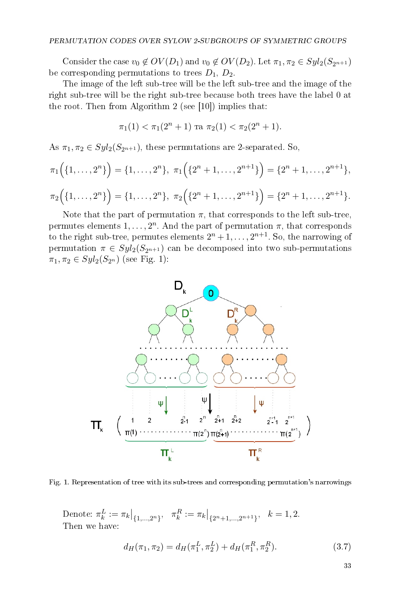Consider the case  $v_0 \notin OV(D_1)$  and  $v_0 \notin OV(D_2)$ . Let  $\pi_1, \pi_2 \in Syl_2(S_{2^{n+1}})$ be corresponding permutations to trees  $D_1, D_2$ .

The image of the left sub-tree will be the left sub-tree and the image of the right sub-tree will be the right sub-tree because both trees have the label 0 at the root. Then from Algorithm 2 (see [10]) implies that:

$$
\pi_1(1) < \pi_1(2^n + 1) \text{ ra } \pi_2(1) < \pi_2(2^n + 1).
$$

As  $\pi_1, \pi_2 \in Syl_2(S_{2^{n+1}})$ , these permutations are 2-separated. So,

$$
\pi_1\Big(\{1,\ldots,2^n\}\Big) = \{1,\ldots,2^n\}, \ \pi_1\Big(\{2^n+1,\ldots,2^{n+1}\}\Big) = \{2^n+1,\ldots,2^{n+1}\},\
$$

$$
\pi_2\Big(\{1,\ldots,2^n\}\Big) = \{1,\ldots,2^n\}, \ \pi_2\Big(\{2^n+1,\ldots,2^{n+1}\}\Big) = \{2^n+1,\ldots,2^{n+1}\}.
$$

Note that the part of permutation  $\pi$ , that corresponds to the left sub-tree, permutes elements  $1, \ldots, 2^n$ . And the part of permutation  $\pi$ , that corresponds to the right sub-tree, permutes elements  $2^n + 1, \ldots, 2^{n+1}$ . So, the narrowing of permutation  $\pi \in Syl_2(S_{2^{n+1}})$  can be decomposed into two sub-permutations  $\pi_1, \pi_2 \in Syl_2(S_{2^n})$  (see Fig. 1):



Fig. 1. Representation of tree with its sub-trees and corresponding permutation's narrowings

Denote:  $\pi_k^L := \pi_k |_{\{1,\ldots,2^n\}}, \quad \pi_k^R := \pi_k |_{\{2^n+1,\ldots,2^{n+1}\}}, \quad k = 1,2.$ Then we have:

$$
d_H(\pi_1, \pi_2) = d_H(\pi_1^L, \pi_2^L) + d_H(\pi_1^R, \pi_2^R). \tag{3.7}
$$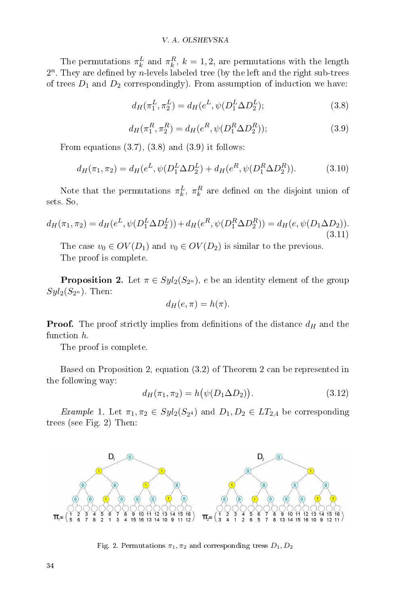The permutations  $\pi_k^L$  and  $\pi_k^R$ ,  $k = 1, 2$ , are permutations with the length  $2^n$ . They are defined by  $n$ -levels labeled tree (by the left and the right sub-trees of trees  $D_1$  and  $D_2$  correspondingly). From assumption of induction we have:

$$
d_H(\pi_1^L, \pi_2^L) = d_H(e^L, \psi(D_1^L \Delta D_2^L); \tag{3.8}
$$

$$
d_H(\pi_1^R, \pi_2^R) = d_H(e^R, \psi(D_1^R \Delta D_2^R));
$$
\n(3.9)

From equations  $(3.7), (3.8)$  and  $(3.9)$  it follows:

$$
d_H(\pi_1, \pi_2) = d_H(e^L, \psi(D_1^L \Delta D_2^L) + d_H(e^R, \psi(D_1^R \Delta D_2^R)).
$$
\n(3.10)

Note that the permutations  $\pi_k^L$ ,  $\pi_k^R$  are defined on the disjoint union of sets. So,

$$
d_H(\pi_1, \pi_2) = d_H(e^L, \psi(D_1^L \Delta D_2^L)) + d_H(e^R, \psi(D_1^R \Delta D_2^R)) = d_H(e, \psi(D_1 \Delta D_2)).
$$
\n(3.11)

The case  $v_0 \in OV(D_1)$  and  $v_0 \in OV(D_2)$  is similar to the previous. The proof is complete.

**Proposition 2.** Let  $\pi \in Syl_2(S_{2^n})$ , e be an identity element of the group  $Syl_2(S_{2^n})$ . Then:

$$
d_H(e, \pi) = h(\pi).
$$

**Proof.** The proof strictly implies from definitions of the distance  $d_H$  and the function h.

The proof is complete.

Based on Proposition 2, equation (3.2) of Theorem 2 can be represented in the following way:

$$
d_H(\pi_1, \pi_2) = h(\psi(D_1 \Delta D_2)).
$$
\n(3.12)

*Example 1.* Let  $\pi_1, \pi_2 \in Syl_2(S_{2^4})$  and  $D_1, D_2 \in LT_{2,4}$  be corresponding trees (see Fig. 2) Then:



Fig. 2. Permutations  $\pi_1, \pi_2$  and corresponding tress  $D_1, D_2$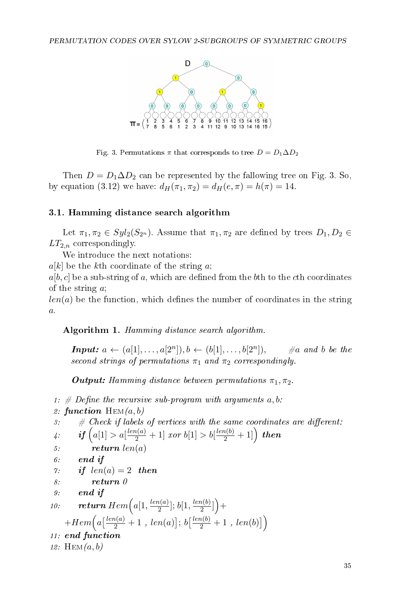

Fig. 3. Permutations  $\pi$  that corresponds to tree  $D = D_1 \Delta D_2$ 

Then  $D = D_1 \Delta D_2$  can be represented by the fallowing tree on Fig. 3. So, by equation (3.12) we have:  $d_H(\pi_1, \pi_2) = d_H(e, \pi) = h(\pi) = 14$ .

## 3.1. Hamming distance search algorithm

Let  $\pi_1, \pi_2 \in Syl_2(S_{2^n})$ . Assume that  $\pi_1, \pi_2$  are defined by trees  $D_1, D_2 \in$  $LT_{2,n}$  correspondingly.

We introduce the next notations:

 $a[k]$  be the kth coordinate of the string a;

 $a[b, c]$  be a sub-string of a, which are defined from the bth to the cth coordinates of the string a;

 $len(a)$  be the function, which defines the number of coordinates in the string  $\overline{a}$ .

Algorithm 1. Hamming distance search algorithm.

**Input:**  $a \leftarrow (a[1], \ldots, a[2^n]), b \leftarrow (b[1], \ldots, b[2^n])$  $\#a$  and b be the second strings of permutations  $\pi_1$  and  $\pi_2$  correspondingly.

**Output:** Hamming distance between permutations  $\pi_1, \pi_2$ .

1: # Define the recursive sub-program with arguments  $a, b$ :

2: function  $\text{HEM}(a, b)$ 

```
3: # Check if labels of vertices with the same coordinates are different:
```
 $\setminus$ 

$$
\ \ \, \mathit{4:} \qquad \mathit{if} \,\, \Big( a[1] > a[\tfrac{len(a)}{2} + 1] \,\, \textit{for} \,\, b[1] > b[\tfrac{len(b)}{2} + 1] \Big) \,\, \textit{then} \\
$$

5:  $return \ len(a)$ 

$$
\ 6: \qquad end \,\, if
$$

$$
\gamma: \qquad \textbf{if} \ \ len(a) = 2 \ \ \textbf{then}
$$

$$
8: \hspace{30pt} \textbf{return} \hspace{20pt} \theta
$$

$$
g_:=\hspace{10mm}\textit{end if}
$$

10: return 
$$
Item\left(a[1, \frac{len(a)}{2}]; b[1, \frac{len(b)}{2}]\right) +
$$
  
+ $Item\left(a\left[\frac{len(a)}{2} + 1, len(a)\right]; b\left[\frac{len(b)}{2} + 1, len(b)\right]$ 

$$
\it 11:~end~function
$$

12:  $HEM(a, b)$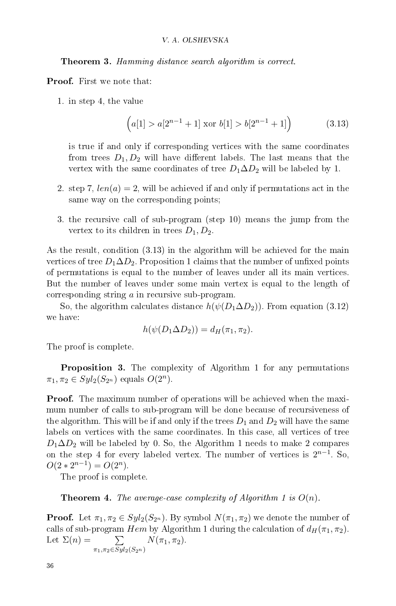**Theorem 3.** Hamming distance search algorithm is correct.

Proof. First we note that:

1. in step 4, the value

$$
(a[1] > a[2^{n-1} + 1] \text{ xor } b[1] > b[2^{n-1} + 1] \tag{3.13}
$$

is true if and only if corresponding vertices with the same coordinates from trees  $D_1, D_2$  will have different labels. The last means that the vertex with the same coordinates of tree  $D_1 \Delta D_2$  will be labeled by 1.

- 2. step 7,  $len(a) = 2$ , will be achieved if and only if permutations act in the same way on the corresponding points;
- 3. the recursive call of sub-program (step 10) means the jump from the vertex to its children in trees  $D_1, D_2$ .

As the result, condition (3.13) in the algorithm will be achieved for the main vertices of tree  $D_1\Delta D_2$ . Proposition 1 claims that the number of unfixed points of permutations is equal to the number of leaves under all its main vertices. But the number of leaves under some main vertex is equal to the length of corresponding string a in recursive sub-program.

So, the algorithm calculates distance  $h(\psi(D_1\Delta D_2))$ . From equation (3.12) we have:

$$
h(\psi(D_1 \Delta D_2)) = d_H(\pi_1, \pi_2).
$$

The proof is complete.

Proposition 3. The complexity of Algorithm 1 for any permutations  $\pi_1, \pi_2 \in Syl_2(S_{2^n})$  equals  $O(2^n)$ .

**Proof.** The maximum number of operations will be achieved when the maximum number of calls to sub-program will be done because of recursiveness of the algorithm. This will be if and only if the trees  $D_1$  and  $D_2$  will have the same labels on vertices with the same coordinates. In this case, all vertices of tree  $D_1\Delta D_2$  will be labeled by 0. So, the Algorithm 1 needs to make 2 compares on the step 4 for every labeled vertex. The number of vertices is  $2^{n-1}$ . So,  $O(2 \times 2^{n-1}) = O(2^n)$ .

The proof is complete.

**Theorem 4.** The average-case complexity of Algorithm 1 is  $O(n)$ .

**Proof.** Let  $\pi_1, \pi_2 \in Syl_2(S_{2^n})$ . By symbol  $N(\pi_1, \pi_2)$  we denote the number of calls of sub-program Hem by Algorithm 1 during the calculation of  $d_H(\pi_1, \pi_2)$ . Let  $\Sigma(n) =$  $\pi_1, \pi_2 \in Syl_2(S_{2^n})$  $N(\pi_1, \pi_2)$  .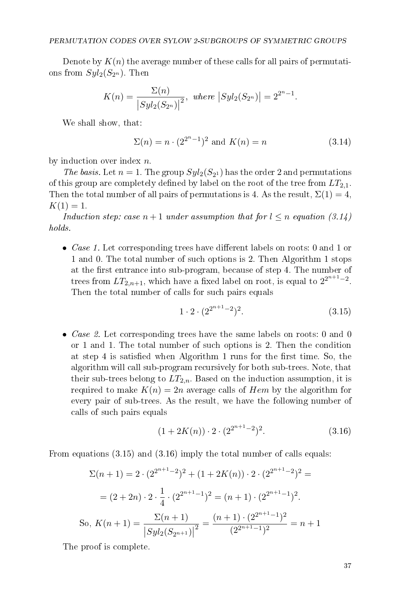Denote by  $K(n)$  the average number of these calls for all pairs of permutations from  $Syl_2(S_{2^n})$ . Then

$$
K(n) = \frac{\Sigma(n)}{|Syl_2(S_{2^n})|^2}, \text{ where } |Syl_2(S_{2^n})| = 2^{2^n - 1}.
$$

We shall show, that:

$$
\Sigma(n) = n \cdot (2^{2^{n}-1})^{2} \text{ and } K(n) = n \tag{3.14}
$$

by induction over index  $n$ .

The basis. Let  $n = 1$ . The group  $Syl_2(S_{2^1})$  has the order 2 and permutations of this group are completely defined by label on the root of the tree from  $LT_{2,1}$ . Then the total number of all pairs of permutations is 4. As the result,  $\Sigma(1) = 4$ ,  $K(1) = 1.$ 

Induction step: case  $n+1$  under assumption that for  $l \leq n$  equation (3.14) holds.

• *Case 1*. Let corresponding trees have different labels on roots: 0 and 1 or 1 and 0. The total number of such options is 2. Then Algorithm 1 stops at the first entrance into sub-program, because of step 4. The number of trees from  $LT_{2,n+1}$ , which have a fixed label on root, is equal to  $2^{2^{n+1}-2}$ . Then the total number of calls for such pairs equals

$$
1 \cdot 2 \cdot (2^{2^{n+1}-2})^2. \tag{3.15}
$$

• *Case 2.* Let corresponding trees have the same labels on roots: 0 and 0 or 1 and 1. The total number of such options is 2. Then the condition at step 4 is satisfied when Algorithm 1 runs for the first time. So, the algorithm will call sub-program recursively for both sub-trees. Note, that their sub-trees belong to  $LT_{2,n}$ . Based on the induction assumption, it is required to make  $K(n) = 2n$  average calls of Hem by the algorithm for every pair of sub-trees. As the result, we have the following number of calls of such pairs equals

$$
(1+2K(n)) \cdot 2 \cdot (2^{2^{n+1}-2})^2. \tag{3.16}
$$

From equations (3.15) and (3.16) imply the total number of calls equals:

$$
\Sigma(n+1) = 2 \cdot (2^{2^{n+1}-2})^2 + (1+2K(n)) \cdot 2 \cdot (2^{2^{n+1}-2})^2 =
$$

$$
= (2+2n) \cdot 2 \cdot \frac{1}{4} \cdot (2^{2^{n+1}-1})^2 = (n+1) \cdot (2^{2^{n+1}-1})^2.
$$
So,  $K(n+1) = \frac{\Sigma(n+1)}{|Syl_2(S_{2^{n+1}})|^2} = \frac{(n+1) \cdot (2^{2^{n+1}-1})^2}{(2^{2^{n+1}-1})^2} = n+1$ 

The proof is complete.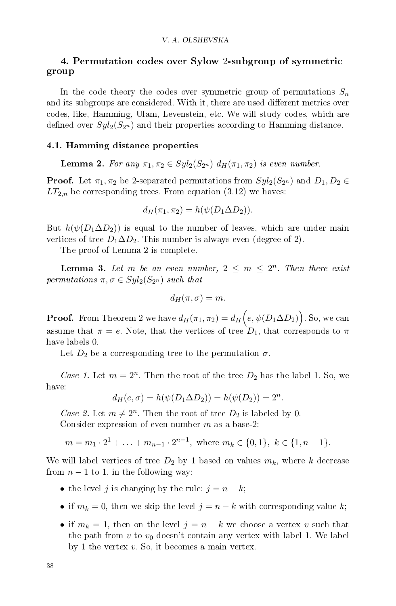## 4. Permutation codes over Sylow 2-subgroup of symmetric group

In the code theory the codes over symmetric group of permutations  $S_n$ and its subgroups are considered. With it, there are used different metrics over codes, like, Hamming, Ulam, Levenstein, etc. We will study codes, which are defined over  $Syl_2(S_{2^n})$  and their properties according to Hamming distance.

#### 4.1. Hamming distance properties

**Lemma 2.** For any  $\pi_1, \pi_2 \in Syl_2(S_{2^n})$   $d_H(\pi_1, \pi_2)$  is even number.

**Proof.** Let  $\pi_1, \pi_2$  be 2-separated permutations from  $Syl_2(S_{2^n})$  and  $D_1, D_2 \in$  $LT_{2,n}$  be corresponding trees. From equation (3.12) we haves:

$$
d_H(\pi_1, \pi_2) = h(\psi(D_1 \Delta D_2)).
$$

But  $h(\psi(D_1\Delta D_2))$  is equal to the number of leaves, which are under main vertices of tree  $D_1 \Delta D_2$ . This number is always even (degree of 2).

The proof of Lemma 2 is complete.

**Lemma 3.** Let m be an even number,  $2 \le m \le 2^n$ . Then there exist permutations  $\pi, \sigma \in Syl_2(S_{2^n})$  such that

$$
d_H(\pi,\sigma)=m.
$$

**Proof.** From Theorem 2 we have  $d_H(\pi_1, \pi_2) = d_H\Bigl(e, \psi(D_1\Delta D_2)\Bigr)$ . So, we can assume that  $\pi = e$ . Note, that the vertices of tree  $D_1$ , that corresponds to  $\pi$ have labels 0.

Let  $D_2$  be a corresponding tree to the permutation  $\sigma$ .

Case 1. Let  $m = 2^n$ . Then the root of the tree  $D_2$  has the label 1. So, we have:

$$
d_H(e, \sigma) = h(\psi(D_1 \Delta D_2)) = h(\psi(D_2)) = 2^n.
$$

Case 2. Let  $m \neq 2^n$ . Then the root of tree  $D_2$  is labeled by 0. Consider expression of even number  $m$  as a base-2:

$$
m = m_1 \cdot 2^1 + \ldots + m_{n-1} \cdot 2^{n-1}
$$
, where  $m_k \in \{0, 1\}$ ,  $k \in \{1, n-1\}$ .

We will label vertices of tree  $D_2$  by 1 based on values  $m_k$ , where k decrease from  $n-1$  to 1, in the following way:

- the level j is changing by the rule:  $j = n k$ ;
- if  $m_k = 0$ , then we skip the level  $j = n k$  with corresponding value k;
- if  $m_k = 1$ , then on the level  $j = n k$  we choose a vertex v such that the path from  $v$  to  $v_0$  doesn't contain any vertex with label 1. We label by 1 the vertex  $v$ . So, it becomes a main vertex.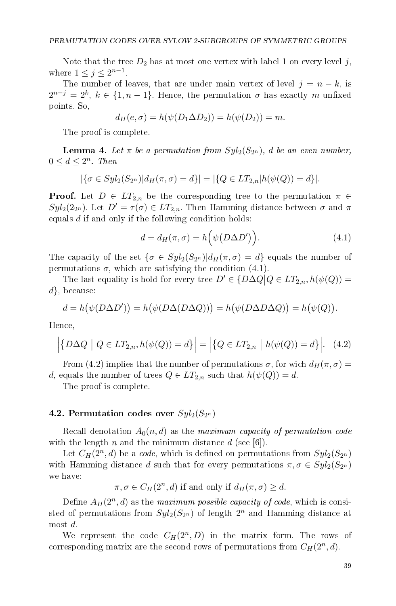Note that the tree  $D_2$  has at most one vertex with label 1 on every level j, where  $1 \leq j \leq 2^{n-1}$ .

The number of leaves, that are under main vertex of level  $j = n - k$ , is  $2^{n-j} = 2^k, \, k \in \{1, n-1\}.$  Hence, the permutation  $\sigma$  has exactly  $m$  unfixed points. So,

$$
d_{H}(e, \sigma) = h(\psi(D_1 \Delta D_2)) = h(\psi(D_2)) = m.
$$

The proof is complete.

**Lemma 4.** Let  $\pi$  be a permutation from  $Syl_2(S_{2^n})$ , d be an even number,  $0 \leq d \leq 2^n$ . Then

$$
|\{\sigma \in Syl_2(S_{2^n})|d_H(\pi,\sigma) = d\}| = |\{Q \in LT_{2,n}|h(\psi(Q)) = d\}|.
$$

**Proof.** Let  $D \in LT_{2,n}$  be the corresponding tree to the permutation  $\pi \in$  $Syl_2(2_{2^n})$ . Let  $D' = \tau(\sigma) \in LT_{2,n}$ . Then Hamming distance between  $\sigma$  and  $\pi$ equals  $d$  if and only if the following condition holds:

$$
d = d_H(\pi, \sigma) = h(\psi(D\Delta D')).
$$
\n(4.1)

The capacity of the set  $\{\sigma \in Syl_2(S_{2^n}) | d_H(\pi, \sigma) = d\}$  equals the number of permutations  $\sigma$ , which are satisfying the condition (4.1).

The last equality is hold for every tree  $D' \in \{D \Delta Q | Q \in LT_{2,n}, h(\psi(Q)) =$  $d$ , because:

$$
d = h(\psi(D\Delta D')) = h(\psi(D\Delta(D\Delta Q))) = h(\psi(D\Delta D\Delta Q)) = h(\psi(Q)).
$$

Hence,

$$
\left| \{ D\Delta Q \mid Q \in LT_{2,n}, h(\psi(Q)) = d \} \right| = \left| \{ Q \in LT_{2,n} \mid h(\psi(Q)) = d \} \right|.
$$
 (4.2)

From (4.2) implies that the number of permutations  $\sigma$ , for wich  $d_H(\pi, \sigma) =$ d, equals the number of trees  $Q \in LT_{2,n}$  such that  $h(\psi(Q)) = d$ .

The proof is complete.

#### 4.2. Permutation codes over  $Syl_2(S_{2^n})$

Recall denotation  $A_0(n,d)$  as the maximum capacity of permutation code with the length n and the minimum distance  $d$  (see [6]).

Let  $C_H(2^n, d)$  be a *code*, which is defined on permutations from  $Syl_2(S_{2^n})$ with Hamming distance d such that for every permutations  $\pi, \sigma \in Syl_2(S_{2^n})$ we have:

 $\pi, \sigma \in C_H(2^n, d)$  if and only if  $d_H(\pi, \sigma) \geq d$ .

Define  $A_H(2^n, d)$  as the maximum possible capacity of code, which is consisted of permutations from  $Syl_2(S_{2^n})$  of length  $2^n$  and Hamming distance at most d.

We represent the code  $C_H(2^n, D)$  in the matrix form. The rows of corresponding matrix are the second rows of permutations from  $C_H(2^n, d)$ .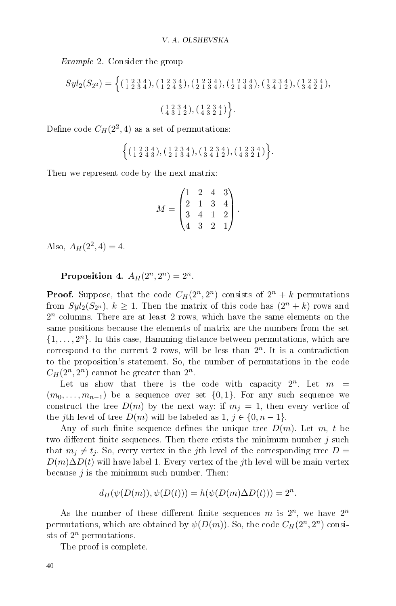Example 2. Consider the group

$$
Syl_2(S_{2^2}) = \left\{ \begin{array}{c} \left( \begin{array}{c} 1 & 2 & 3 & 4 \\ 1 & 2 & 3 & 4 \end{array} \right), \left( \begin{array}{c} 1 & 2 & 3 & 4 \\ 1 & 2 & 4 & 3 \end{array} \right), \left( \begin{array}{c} 1 & 2 & 3 & 4 \\ 2 & 1 & 3 & 4 \end{array} \right), \left( \begin{array}{c} 1 & 2 & 3 & 4 \\ 2 & 1 & 4 & 3 \end{array} \right), \left( \begin{array}{c} 1 & 2 & 3 & 4 \\ 3 & 4 & 1 & 2 \end{array} \right), \left( \begin{array}{c} 1 & 2 & 3 & 4 \\ 3 & 4 & 2 & 1 \end{array} \right), \left( \begin{array}{c} 1 & 2 & 3 & 4 \\ 4 & 3 & 2 & 1 \end{array} \right) \right\}.
$$

Define code  $C_H(2^2, 4)$  as a set of permutations:

$$
\left\{ \big(\begin{smallmatrix} 1 & 2 & 3 & 4 \\ 1 & 2 & 4 & 3 \end{smallmatrix}\big) , \big(\begin{smallmatrix} 1 & 2 & 3 & 4 \\ 2 & 1 & 3 & 4 \end{smallmatrix}\big), \big(\begin{smallmatrix} 1 & 2 & 3 & 4 \\ 3 & 4 & 1 & 2 \end{smallmatrix}\big), \big(\begin{smallmatrix} 1 & 2 & 3 & 4 \\ 4 & 3 & 2 & 1 \end{smallmatrix}\big) \right\}.
$$

Then we represent code by the next matrix:

$$
M = \begin{pmatrix} 1 & 2 & 4 & 3 \\ 2 & 1 & 3 & 4 \\ 3 & 4 & 1 & 2 \\ 4 & 3 & 2 & 1 \end{pmatrix}.
$$

Also,  $A_H(2^2, 4) = 4$ .

## Proposition 4.  $A_H(2^n, 2^n) = 2^n$ .

**Proof.** Suppose, that the code  $C_H(2^n, 2^n)$  consists of  $2^n + k$  permutations from  $Syl_2(S_{2^n})$ ,  $k \geq 1$ . Then the matrix of this code has  $(2^n + k)$  rows and  $2<sup>n</sup>$  columns. There are at least 2 rows, which have the same elements on the same positions because the elements of matrix are the numbers from the set  $\{1, \ldots, 2^n\}$ . In this case, Hamming distance between permutations, which are correspond to the current 2 rows, will be less than  $2^n$ . It is a contradiction to the proposition's statement. So, the number of permutations in the code  $C_H(2^n, 2^n)$  cannot be greater than  $2^n$ .

Let us show that there is the code with capacity  $2^n$ . Let  $m =$  $(m_0, \ldots, m_{n-1})$  be a sequence over set  $\{0, 1\}$ . For any such sequence we construct the tree  $D(m)$  by the next way: if  $m_j = 1$ , then every vertice of the jth level of tree  $D(m)$  will be labeled as  $1, j \in \{0, n-1\}.$ 

Any of such finite sequence defines the unique tree  $D(m)$ . Let m, t be two different finite sequences. Then there exists the minimum number  $j$  such that  $m_i \neq t_i$ . So, every vertex in the jth level of the corresponding tree D =  $D(m)\Delta D(t)$  will have label 1. Every vertex of the jth level will be main vertex because  $j$  is the minimum such number. Then:

$$
d_H(\psi(D(m)), \psi(D(t))) = h(\psi(D(m)\Delta D(t))) = 2^n.
$$

As the number of these different finite sequences m is  $2^n$ , we have  $2^n$ permutations, which are obtained by  $\psi(D(m))$ . So, the code  $C_H(2^n,2^n)$  consists of  $2^n$  permutations.

The proof is complete.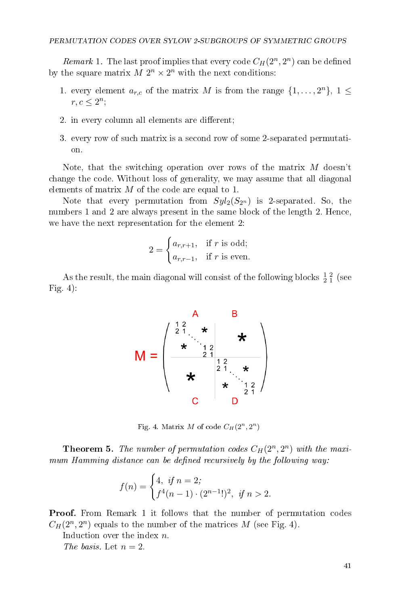*Remark* 1. The last proof implies that every code  $C_H(2^n, 2^n)$  can be defined by the square matrix  $M 2^n \times 2^n$  with the next conditions:

- 1. every element  $a_{r,c}$  of the matrix M is from the range  $\{1,\ldots,2^n\}, 1 \leq$  $r, c \leq 2^n;$
- 2. in every column all elements are different;
- 3. every row of such matrix is a second row of some 2-separated permutation.

Note, that the switching operation over rows of the matrix M doesn't change the code. Without loss of generality, we may assume that all diagonal elements of matrix  $M$  of the code are equal to 1.

Note that every permutation from  $Syl_2(S_{2^n})$  is 2-separated. So, the numbers 1 and 2 are always present in the same block of the length 2. Hence, we have the next representation for the element 2:

$$
2 = \begin{cases} a_{r,r+1}, & \text{if } r \text{ is odd;} \\ a_{r,r-1}, & \text{if } r \text{ is even.} \end{cases}
$$

As the result, the main diagonal will consist of the following blocks  $\frac{1}{2}$   $\frac{2}{1}$  (see Fig. 4):



Fig. 4. Matrix M of code  $C_H(2^n, 2^n)$ 

**Theorem 5.** The number of permutation codes  $C_H(2^n, 2^n)$  with the maximum Hamming distance can be defined recursively by the following way:

$$
f(n) = \begin{cases} 4, & \text{if } n = 2; \\ f^4(n-1) \cdot (2^{n-1}!)^2, & \text{if } n > 2. \end{cases}
$$

Proof. From Remark 1 it follows that the number of permutation codes  $C_H(2^n, 2^n)$  equals to the number of the matrices M (see Fig. 4).

Induction over the index n.

The basis. Let  $n=2$ .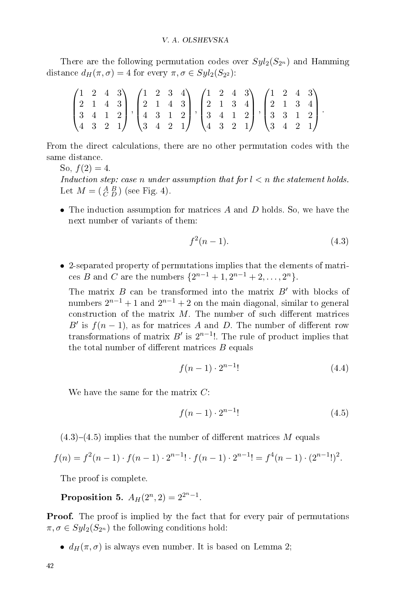There are the following permutation codes over  $Syl_2(S_{2^n})$  and Hamming distance  $d_H(\pi,\sigma) = 4$  for every  $\pi, \sigma \in Syl_2(S_{2^2})$ :

| $\begin{pmatrix} 1 & 2 & 4 & 3 \\ 2 & 1 & 4 & 3 \\ 3 & 4 & 1 & 2 \\ 4 & 3 & 2 & 1 \end{pmatrix}, \begin{pmatrix} 1 & 2 & 3 & 4 \\ 2 & 1 & 4 & 3 \\ 4 & 3 & 1 & 2 \\ 3 & 4 & 2 & 1 \end{pmatrix}, \begin{pmatrix} 1 & 2 & 4 & 3 \\ 2 & 1 & 3 & 4 \\ 3 & 4 & 1 & 2 \\ 4 & 3 & 2 & 1 \end{pmatrix}, \begin{pmatrix} 1 & 2 & 4 & 3 \\ 2 & 1 & 3 & 4 \\ 3 & 3 & 1 & 2 \\ $ |  |  |  |  |  |  |  |  |  |  |
|-----------------------------------------------------------------------------------------------------------------------------------------------------------------------------------------------------------------------------------------------------------------------------------------------------------------------------------------------------------------------|--|--|--|--|--|--|--|--|--|--|

From the direct calculations, there are no other permutation codes with the same distance.

So,  $f(2) = 4$ . Induction step: case n under assumption that for  $l < n$  the statement holds. Let  $M = \begin{pmatrix} A & B \\ C & D \end{pmatrix}$  (see Fig. 4).

• The induction assumption for matrices  $A$  and  $D$  holds. So, we have the next number of variants of them:

$$
f^2(n-1). \tag{4.3}
$$

• 2-separated property of permutations implies that the elements of matrices B and C are the numbers  $\{2^{n-1}+1, 2^{n-1}+2, ..., 2^n\}.$ 

The matrix  $B$  can be transformed into the matrix  $B'$  with blocks of numbers  $2^{n-1}+1$  and  $2^{n-1}+2$  on the main diagonal, similar to general construction of the matrix  $M$ . The number of such different matrices B' is  $f(n-1)$ , as for matrices A and D. The number of different row transformations of matrix  $B'$  is  $2^{n-1}$ !. The rule of product implies that the total number of different matrices  $B$  equals

$$
f(n-1) \cdot 2^{n-1} \tag{4.4}
$$

We have the same for the matrix  $C$ :

$$
f(n-1) \cdot 2^{n-1} \tag{4.5}
$$

 $(4.3)-(4.5)$  implies that the number of different matrices M equals

$$
f(n) = f^{2}(n-1) \cdot f(n-1) \cdot 2^{n-1}! \cdot f(n-1) \cdot 2^{n-1}! = f^{4}(n-1) \cdot (2^{n-1})^{2}.
$$

The proof is complete.

Proposition 5.  $A_H(2^n, 2) = 2^{2^n-1}$ .

**Proof.** The proof is implied by the fact that for every pair of permutations  $\pi, \sigma \in Syl_2(S_{2^n})$  the following conditions hold:

•  $d_H(\pi, \sigma)$  is always even number. It is based on Lemma 2;